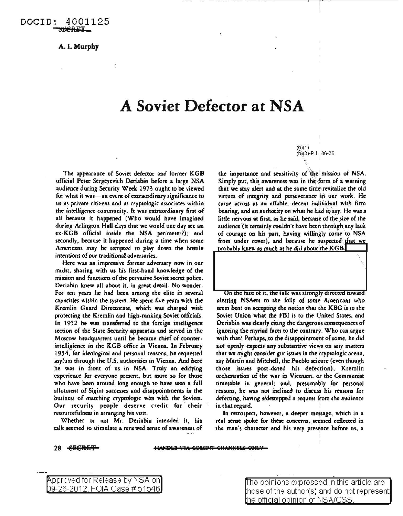## A. I. Murphy

## **A Soviet Defector at NSA**

The appearance of Soviet defector and former KGB official Peter Sergeyevich Deriabin before a large NSA audience during Security Week 1973 ought to be viewed for what it was-an event of extraordinary significance to us as private citizens and as cryptologic associates within the intelligence community. It was extraordinary first of all because it happened (Who would have imagined during Arlington Hall days that we would one day sec an ex-KGB official inside the NSA perimeter?); and secondly, because it happened during a time when some Americans may be rcmpted to play down the hostile intentions of our traditional adversaries.

Herc was an impressive former adversary now in our midst, sharing with us his first-hand knowledge of the mission and functions of the pervasive Soviet secret police. Deriabin knew all about it, in great detail. No wonder. For ren years he had been among the elite in several capacities within the system. He spent five years wich the Kremlin Guard Directorate, which was charged with protecting the Kremlin and high-ranking Soviet officials. In 1952 he was transferred to the foreign intelligence section of the State Security apparatus and served in the Moscow headquarters until he became chief of counterintelligience in the KGB office in Vienna. In February 1954, for ideological and personal reasons, he requested asylum through the U.S. authorities in Vienna. And here he was in front of us in NSA. Truly an edifying experience for everyone present, but more so for those who have been around long enough to have seen a full allotment of Sigint successes and disappointments in the business of matching cryptologic wits with the Soviets. Our security people deserve credit for their resourcefulness in arranging his visit.

Whether or not Mr. Deriabin intended it, his talk seemed to stimulate a renewed sense of awareness of

 $(b)(1)$ (bl(3)-P.L; 86-36

the importance and sensitivity of the mission of NSA. Simply put, this awareness was in the form of a warning that we stay alert and at the same time revitalize the old virtues of integrity and perseverance in our work. He came across as an affable, decent individual with firm bearing, and an authority on what he had to say. He was a little nervous at first, as he said, because of the size of the audience (it certainly couldn't have been through any lack of courage on his part, having willingly come to NSA from under cover), and because he suspected that we probably knew as much as he did about the KGB.

. ..



On the face of it, the talk was strongly directed toward alerting NSAers to the folly of some Americans who seem bent on accepting the notion that the KBG is to rhe Soviet Union what the FBI is to rhe United States, and Deriabin was clearly citing the dangerous consequences of ignoring the myriad facts to the contrary. Who can argue with that? Perhaps, to the disappointment of some, he did with that: I critaps, to the disappointment of some, he did that we might consider gut issues in the cryptologic arena, say Martin and Mitchell, the Pueblo seizure (even though those issues post-dated his defection), Kremlin orchestration of the war in Vietnam, or the Communist timetable in general; and, presumably for personal reasons, he was not inclined to discuss his reasons for defecting, having sidestepped a request from the audience in that regard.

In retrospect, however, a deeper message, which in a real sense spoke for these concerns, seemed reflected in the man's character and his very presence before us, a

## 28 SECRET

pproved for Release by NSA on

9-26-2012 FOIA Case# 51546 ~he opinions expressed in this article are hose of the author(s) and do not represent he official ooinion of NSA/CSS.